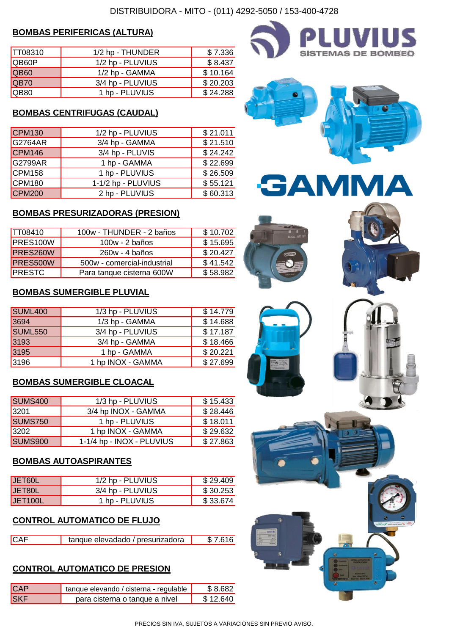#### **BOMBAS PERIFERICAS (ALTURA)**

| TT08310      | 1/2 hp - THUNDER | \$7.336  |
|--------------|------------------|----------|
| <b>QB60P</b> | 1/2 hp - PLUVIUS | \$8.437  |
| QB60         | 1/2 hp - GAMMA   | \$10.164 |
| QB70         | 3/4 hp - PLUVIUS | \$20.203 |
| IQB80        | 1 hp - PLUVIUS   | \$24.288 |

#### **BOMBAS CENTRIFUGAS (CAUDAL)**

| <b>CPM130</b>      | 1/2 hp - PLUVIUS   | \$21.011 |
|--------------------|--------------------|----------|
| G2764AR            | 3/4 hp - GAMMA     | \$21.510 |
| CPM146             | 3/4 hp - PLUVIS    | \$24.242 |
| G2799AR            | 1 hp - GAMMA       | \$22.699 |
| CPM158             | 1 hp - PLUVIUS     | \$26.509 |
| CPM <sub>180</sub> | 1-1/2 hp - PLUVIUS | \$55.121 |
| <b>CPM200</b>      | 2 hp - PLUVIUS     | \$60.313 |

#### **BOMBAS PRESURIZADORAS (PRESION)**

| TT08410          | 100w - THUNDER - 2 baños    | \$10.702 |
|------------------|-----------------------------|----------|
| <b>IPRES100W</b> | $100w - 2$ baños            | \$15.695 |
| PRES260W         | 260w - 4 baños              | \$20.427 |
| <b>PRES500W</b>  | 500w - comercial-industrial | \$41.542 |
| <b>PRESTC</b>    | Para tanque cisterna 600W   | \$58.982 |

#### **BOMBAS SUMERGIBLE PLUVIAL**

| 1/3 hp - PLUVIUS  | \$14.779 |
|-------------------|----------|
| 1/3 hp - GAMMA    | \$14.688 |
| 3/4 hp - PLUVIUS  | \$17.187 |
| 3/4 hp - GAMMA    | \$18.466 |
| 1 hp - GAMMA      | \$20.221 |
| 1 hp INOX - GAMMA | \$27.699 |
|                   |          |

#### **BOMBAS SUMERGIBLE CLOACAL**

| SUMS400 | 1/3 hp - PLUVIUS          | \$15.433 |
|---------|---------------------------|----------|
| 3201    | 3/4 hp INOX - GAMMA       | \$28.446 |
| SUMS750 | 1 hp - PLUVIUS            | \$18.011 |
| 3202    | 1 hp INOX - GAMMA         | \$29.632 |
| SUMS900 | 1-1/4 hp - INOX - PLUVIUS | \$27.863 |

#### **BOMBAS AUTOASPIRANTES**

| JET60L          | 1/2 hp - PLUVIUS | \$29.409  |
|-----------------|------------------|-----------|
| <b>JET80L</b>   | 3/4 hp - PLUVIUS | \$30.253  |
| <b>IJET100L</b> | 1 hp - PLUVIUS   | \$33.674] |

#### **CONTROL AUTOMATICO DE FLUJO**

| <b>CAF</b> | tanque elevadado / presurizadora | \$7.616 |
|------------|----------------------------------|---------|
|            |                                  |         |

#### **CONTROL AUTOMATICO DE PRESION**

| <b>CAP</b> | tanque elevando / cisterna - regulable | \$8.682  |
|------------|----------------------------------------|----------|
| <b>SKF</b> | para cisterna o tanque a nivel         | \$12.640 |